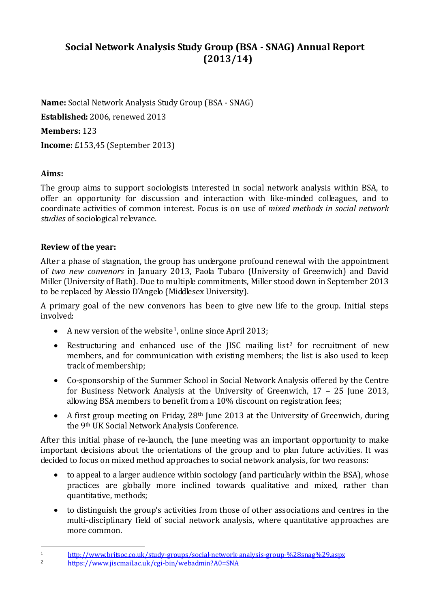# **Social Network Analysis Study Group (BSA - SNAG) Annual Report (2013/14)**

**Name:** Social Network Analysis Study Group (BSA - SNAG)

**Established:** 2006, renewed 2013

**Members:** 123

**Income:** £153,45 (September 2013)

## **Aims:**

The group aims to support sociologists interested in social network analysis within BSA, to offer an opportunity for discussion and interaction with like-minded colleagues, and to coordinate activities of common interest. Focus is on use of *mixed methods in social network studies* of sociological relevance.

### **Review of the year:**

After a phase of stagnation, the group has undergone profound renewal with the appointment of *two new convenors* in January 2013, Paola Tubaro (University of Greenwich) and David Miller (University of Bath). Due to multiple commitments, Miller stood down in September 2013 to be replaced by Alessio D'Angelo (Middlesex University).

A primary goal of the new convenors has been to give new life to the group. Initial steps involved:

- A new version of the website<sup>1</sup>, online since April 2013;
- Restructuring and enhanced use of the IISC mailing list<sup>[2](#page-0-1)</sup> for recruitment of new members, and for communication with existing members; the list is also used to keep track of membership;
- Co-sponsorship of the Summer School in Social Network Analysis offered by the Centre for Business Network Analysis at the University of Greenwich, 17 – 25 June 2013, allowing BSA members to benefit from a 10% discount on registration fees;
- A first group meeting on Friday, 28<sup>th</sup> June 2013 at the University of Greenwich, during the 9th UK Social Network Analysis Conference.

After this initial phase of re-launch, the June meeting was an important opportunity to make important decisions about the orientations of the group and to plan future activities. It was decided to focus on mixed method approaches to social network analysis, for two reasons:

- to appeal to a larger audience within sociology (and particularly within the BSA), whose practices are globally more inclined towards qualitative and mixed, rather than quantitative, methods;
- to distinguish the group's activities from those of other associations and centres in the multi-disciplinary field of social network analysis, where quantitative approaches are more common.

<span id="page-0-0"></span><sup>1</sup> <http://www.britsoc.co.uk/study-groups/social-network-analysis-group-%28snag%29.aspx><br>2 https://www.jisemail.co.uk/study-groups/social-network-analysis-group-%28snag%29.aspx

<span id="page-0-1"></span><sup>2</sup> <https://www.jiscmail.ac.uk/cgi-bin/webadmin?A0=SNA>